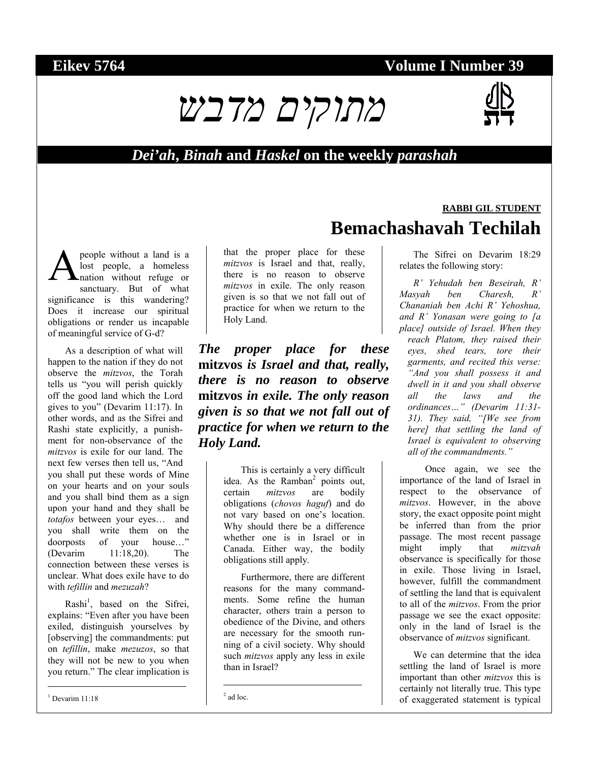# *מתוקים מדבש*



### *Dei'ah***,** *Binah* **and** *Haskel* **on the weekly** *parashah*

people without a land is a lost people, a homeless nation without refuge or sanctuary. But of what significance is this wandering? Does it increase our spiritual obligations or render us incapable of meaningful service of G-d? A

As a description of what will happen to the nation if they do not observe the *mitzvos*, the Torah tells us "you will perish quickly off the good land which the Lord gives to you" (Devarim 11:17). In other words, and as the Sifrei and Rashi state explicitly, a punishment for non-observance of the *mitzvos* is exile for our land. The next few verses then tell us, "And you shall put these words of Mine on your hearts and on your souls and you shall bind them as a sign upon your hand and they shall be *totafos* between your eyes… and you shall write them on the doorposts of your house…" (Devarim 11:18,20). The connection between these verses is unclear. What does exile have to do with *tefillin* and *mezuzah*?

Rashi<sup>1</sup>, based on the Sifrei, explains: "Even after you have been exiled, distinguish yourselves by [observing] the commandments: put on *tefillin*, make *mezuzos*, so that they will not be new to you when you return." The clear implication is

 $1$  Devarim 11:18

l

that the proper place for these *mitzvos* is Israel and that, really, there is no reason to observe *mitzvos* in exile. The only reason given is so that we not fall out of practice for when we return to the Holy Land.

*The proper place for these*  **mitzvos** *is Israel and that, really, there is no reason to observe*  **mitzvos** *in exile. The only reason given is so that we not fall out of practice for when we return to the Holy Land.* 

> This is certainly a very difficult idea. As the Ramban<sup>2</sup> points out, certain *mitzvos* are bodily obligations (*chovos haguf*) and do not vary based on one's location. Why should there be a difference whether one is in Israel or in Canada. Either way, the bodily obligations still apply.

> Furthermore, there are different reasons for the many commandments. Some refine the human character, others train a person to obedience of the Divine, and others are necessary for the smooth running of a civil society. Why should such *mitzvos* apply any less in exile than in Israel?

# **RABBI GIL STUDENT Bemachashavah Techilah**

The Sifrei on Devarim 18:29 relates the following story:

*R' Yehudah ben Beseirah, R' Masyah ben Charesh, R' Chananiah ben Achi R' Yehoshua, and R' Yonasan were going to [a place] outside of Israel. When they reach Platom, they raised their eyes, shed tears, tore their garments, and recited this verse: "And you shall possess it and dwell in it and you shall observe all the laws and the ordinances…" (Devarim 11:31- 31). They said, "[We see from here] that settling the land of Israel is equivalent to observing all of the commandments."* 

Once again, we see the importance of the land of Israel in respect to the observance of *mitzvos*. However, in the above story, the exact opposite point might be inferred than from the prior passage. The most recent passage might imply that *mitzvah* observance is specifically for those in exile. Those living in Israel, however, fulfill the commandment of settling the land that is equivalent to all of the *mitzvos*. From the prior passage we see the exact opposite: only in the land of Israel is the observance of *mitzvos* significant.

We can determine that the idea settling the land of Israel is more important than other *mitzvos* this is certainly not literally true. This type of exaggerated statement is typical

 $\overline{\phantom{a}}$ 

 $2$  ad loc.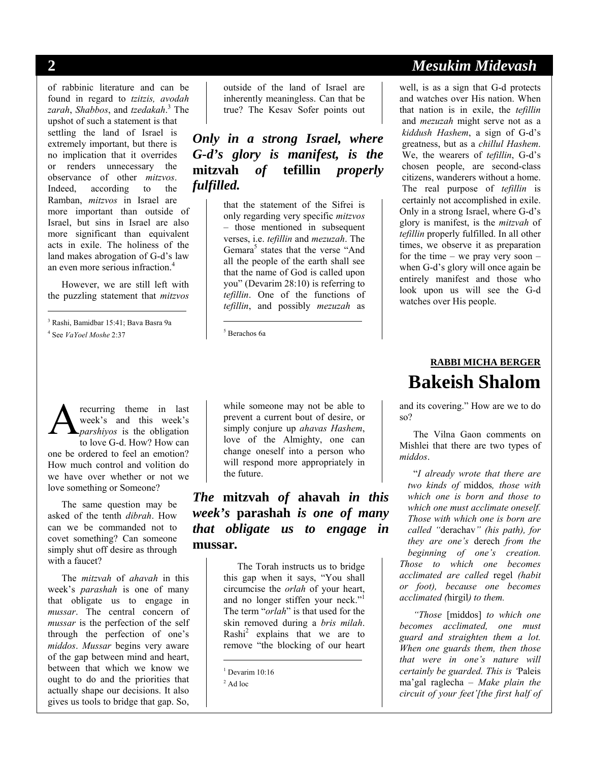of rabbinic literature and can be found in regard to *tzitzis, avodah zarah*, *Shabbos*, and *tzedakah*. 3 The upshot of such a statement is that settling the land of Israel is extremely important, but there is no implication that it overrides or renders unnecessary the observance of other *mitzvos*. Indeed, according to the Ramban, *mitzvos* in Israel are more important than outside of Israel, but sins in Israel are also more significant than equivalent acts in exile. The holiness of the land makes abrogation of G-d's law an even more serious infraction.4

However, we are still left with the puzzling statement that *mitzvos*

3 Rashi, Bamidbar 15:41; Bava Basra 9a 4 See *VaYoel Moshe* 2:37

outside of the land of Israel are inherently meaningless. Can that be true? The Kesav Sofer points out

*Only in a strong Israel, where G-d's glory is manifest, is the*  **mitzvah** *of* **tefillin** *properly fulfilled.* 

> that the statement of the Sifrei is only regarding very specific *mitzvos* – those mentioned in subsequent verses, i.e. *tefillin* and *mezuzah*. The Gemara<sup>5</sup> states that the verse "And all the people of the earth shall see that the name of God is called upon you" (Devarim 28:10) is referring to *tefillin*. One of the functions of *tefillin*, and possibly *mezuzah* as

5 Berachos 6a

 $\overline{a}$ 

recurring theme in last week's and this week's *parshiyos* is the obligation to love G-d. How? How can one be ordered to feel an emotion? How much control and volition do we have over whether or not we love something or Someone? A

The same question may be asked of the tenth *dibrah*. How can we be commanded not to covet something? Can someone simply shut off desire as through with a faucet?

The *mitzvah* of *ahavah* in this week's *parashah* is one of many that obligate us to engage in *mussar*. The central concern of *mussar* is the perfection of the self through the perfection of one's *middos*. *Mussar* begins very aware of the gap between mind and heart, between that which we know we ought to do and the priorities that actually shape our decisions. It also gives us tools to bridge that gap. So, while someone may not be able to prevent a current bout of desire, or simply conjure up *ahavas Hashem*, love of the Almighty, one can change oneself into a person who will respond more appropriately in the future.

*The* **mitzvah** *of* **ahavah** *in this week's* **parashah** *is one of many that obligate us to engage in*  **mussar***.* 

> The Torah instructs us to bridge this gap when it says, "You shall circumcise the *orlah* of your heart, and no longer stiffen your neck." The term "*orlah*" is that used for the skin removed during a *bris milah*. Rashi<sup>2</sup> explains that we are to remove "the blocking of our heart

 $\overline{\phantom{a}}$ 

# **2** *Mesukim Midevash*

well, is as a sign that G-d protects and watches over His nation. When that nation is in exile, the *tefillin* and *mezuzah* might serve not as a *kiddush Hashem*, a sign of G-d's greatness, but as a *chillul Hashem*. We, the wearers of *tefillin*, G-d's chosen people, are second-class citizens, wanderers without a home. The real purpose of *tefillin* is certainly not accomplished in exile. Only in a strong Israel, where G-d's glory is manifest, is the *mitzvah* of *tefillin* properly fulfilled. In all other times, we observe it as preparation for the time – we pray very soon – when G-d's glory will once again be entirely manifest and those who look upon us will see the G-d watches over His people.

# **RABBI MICHA BERGER Bakeish Shalom**

and its covering." How are we to do so?

The Vilna Gaon comments on Mishlei that there are two types of *middos*.

"*I already wrote that there are two kinds of* middos*, those with which one is born and those to which one must acclimate oneself. Those with which one is born are called "*derachav*" (his path), for they are one's* derech *from the beginning of one's creation. Those to which one becomes acclimated are called* regel *(habit or foot), because one becomes acclimated (*hirgil*) to them.* 

*"Those* [middos] *to which one becomes acclimated, one must guard and straighten them a lot. When one guards them, then those that were in one's nature will certainly be guarded. This is '*Paleis ma'gal raglecha *– Make plain the circuit of your feet'[the first half of* 

l

<sup>&</sup>lt;sup>1</sup> Devarim 10:16

 $2$  Ad loc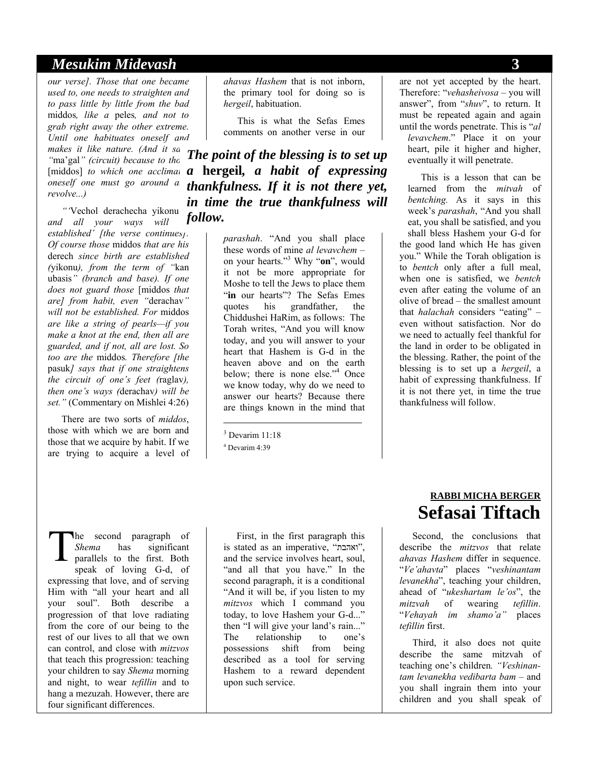#### *Mesukim Midevash* **3**

*our verse]. Those that one became used to, one needs to straighten and to pass little by little from the bad*  middos*, like a* peles*, and not to grab right away the other extreme. Until one habituates oneself and makes it like nature. (And it sa* "ma'gal" *(circuit)* because to those *oneself one must go around a revolve...)* 

*"'*Vechol derachecha yikonu *– and all your ways will be established' [the verse continues]. Of course those* middos *that are his*  derech *since birth are established (*yikonu*), from the term of "*kan ubasis*" (branch and base). If one does not guard those* [middos *that are] from habit, even "*derachav*" will not be established. For* middos *are like a string of pearls—if you make a knot at the end, then all are guarded, and if not, all are lost. So too are the* middos*. Therefore [the*  pasuk*] says that if one straightens the circuit of one's feet (*raglav*), then one's ways (*derachav*) will be set."* (Commentary on Mishlei 4:26)

There are two sorts of *middos*, those with which we are born and those that we acquire by habit. If we are trying to acquire a level of *ahavas Hashem* that is not inborn, the primary tool for doing so is *hergeil*, habituation.

This is what the Sefas Emes comments on another verse in our

[middos] to which one acclimat **a hergeil**, **a habit of expressing** *The point of the blessing is to set up thankfulness. If it is not there yet, in time the true thankfulness will follow.* 

> *parashah*. "And you shall place these words of mine *al levavchem* – on your hearts."3 Why "**on**", would it not be more appropriate for Moshe to tell the Jews to place them "in our hearts"? The Sefas Emes quotes his grandfather, the Chiddushei HaRim, as follows: The Torah writes, "And you will know today, and you will answer to your heart that Hashem is G-d in the heaven above and on the earth below; there is none else."<sup>4</sup> Once we know today, why do we need to answer our hearts? Because there are things known in the mind that

 $\overline{\phantom{a}}$ 

he second paragraph of *Shema* has significant parallels to the first. Both speak of loving G-d, of expressing that love, and of serving Him with "all your heart and all your soul". Both describe a progression of that love radiating from the core of our being to the rest of our lives to all that we own can control, and close with *mitzvos*  that teach this progression: teaching your children to say *Shema* morning and night, to wear *tefillin* and to hang a mezuzah. However, there are four significant differences. T

First, in the first paragraph this is stated as an imperative, "ואהבת", and the service involves heart, soul, "and all that you have." In the second paragraph, it is a conditional "And it will be, if you listen to my *mitzvos* which I command you today, to love Hashem your G-d..." then "I will give your land's rain..." The relationship to one's possessions shift from being described as a tool for serving Hashem to a reward dependent upon such service.

#### are not yet accepted by the heart. Therefore: "*vehasheivosa* – you will answer", from "*shuv*", to return. It must be repeated again and again until the words penetrate. This is "*al levavchem*." Place it on your heart, pile it higher and higher, eventually it will penetrate.

This is a lesson that can be learned from the *mitvah* of *bentching.* As it says in this week's *parashah*, "And you shall eat, you shall be satisfied, and you shall bless Hashem your G-d for the good land which He has given you." While the Torah obligation is to *bentch* only after a full meal, when one is satisfied, we *bentch* even after eating the volume of an olive of bread – the smallest amount that *halachah* considers "eating" – even without satisfaction. Nor do we need to actually feel thankful for the land in order to be obligated in the blessing. Rather, the point of the blessing is to set up a *hergeil*, a habit of expressing thankfulness. If it is not there yet, in time the true thankfulness will follow.

# **RABBI MICHA BERGER Sefasai Tiftach**

Second, the conclusions that describe the *mitzvos* that relate *ahavas Hashem* differ in sequence. "*Ve'ahavta*" places "*veshinantam levanekha*", teaching your children, ahead of "*ukeshartam le'os*", the *mitzvah* of wearing *tefillin*. "*Vehayah im shamo'a"* places *tefillin* first.

Third, it also does not quite describe the same mitzvah of teaching one's children*. "Veshinantam levanekha vedibarta bam* – and you shall ingrain them into your children and you shall speak of

<sup>&</sup>lt;sup>3</sup> Devarim 11:18

<sup>4</sup> Devarim 4:39